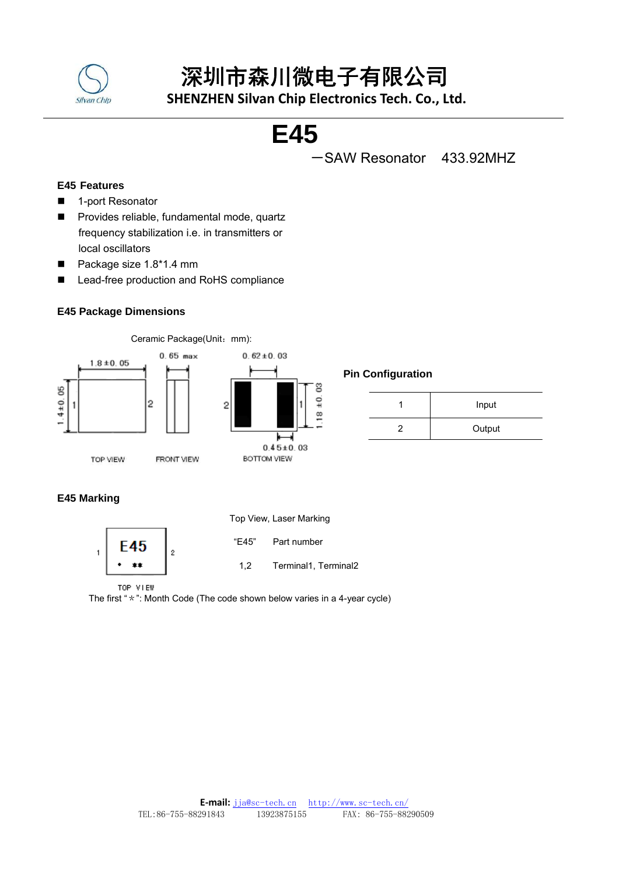

# 深圳市森川微电子有限公司

 **SHENZHEN Silvan Chip Electronics Tech. Co., Ltd.**

# **E45**

-SAW Resonator 433.92MHZ

# **E45 Features**

- 1-port Resonator
- **Provides reliable, fundamental mode, quartz** frequency stabilization i.e. in transmitters or local oscillators
- Package size 1.8\*1.4 mm
- Lead-free production and RoHS compliance

# **E45 Package Dimensions**



Ceramic Package(Unit: mm):



# **Pin Configuration**

| Input  |
|--------|
| Output |

# **E45 Marking**

TOP VIEW





"E45" Part number

FRONT VIEW

1,2 Terminal1, Terminal2

TOP VIEW

The first "\*": Month Code (The code shown below varies in a 4-year cycle)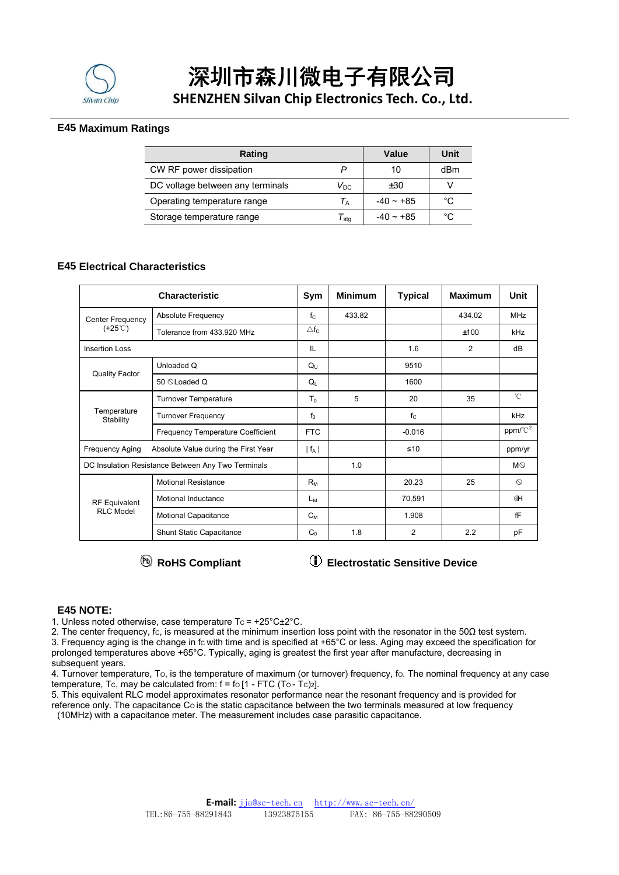

深圳市森川微电子有限公司

 **SHENZHEN Silvan Chip Electronics Tech. Co., Ltd.**

## **E45 Maximum Ratings**

| Rating                           | Value                 | Unit           |     |
|----------------------------------|-----------------------|----------------|-----|
| CW RF power dissipation          |                       | 10             | dBm |
| DC voltage between any terminals | $V_{\rm DC}$          | ±30            |     |
| Operating temperature range      | $T_A$                 | $-40 - +85$    | °C  |
| Storage temperature range        | $\tau_{\mathsf{stq}}$ | $-40 \sim +85$ | °€  |

## **E45 Electrical Characteristics**

| <b>Characteristic</b>                                          |                                          |                 | <b>Minimum</b> | <b>Typical</b> | <b>Maximum</b> | Unit                |
|----------------------------------------------------------------|------------------------------------------|-----------------|----------------|----------------|----------------|---------------------|
| Center Frequency                                               | <b>Absolute Frequency</b>                | $f_{C}$         | 433.82         |                | 434.02         | <b>MHz</b>          |
| $(+25^{\circ}C)$                                               | Tolerance from 433.920 MHz               | $\triangle f_C$ |                |                | ±100           | kHz                 |
| <b>Insertion Loss</b>                                          |                                          |                 |                | 1.6            | $\overline{2}$ | dB                  |
|                                                                | Unloaded Q                               | $Q_{U}$         |                | 9510           |                |                     |
| <b>Quality Factor</b>                                          | 50 © Loaded Q                            | $Q_{\parallel}$ |                | 1600           |                |                     |
| Temperature<br>Stability                                       | <b>Turnover Temperature</b>              | T٥              | 5              | 20             | 35             | $^{\circ}$ C        |
|                                                                | <b>Turnover Frequency</b>                | $f_0$           |                | $f_{C}$        |                | kHz                 |
|                                                                | <b>Frequency Temperature Coefficient</b> | <b>FTC</b>      |                | $-0.016$       |                | ppm/°C <sup>2</sup> |
| Absolute Value during the First Year<br><b>Frequency Aging</b> |                                          | $ f_A $         |                | ≤10            |                | ppm/yr              |
| DC Insulation Resistance Between Any Two Terminals             |                                          |                 | 1.0            |                |                | $M\odot$            |
| <b>RF</b> Equivalent<br><b>RLC Model</b>                       | <b>Motional Resistance</b>               | $R_M$           |                | 20.23          | 25             | $\circ$             |
|                                                                | Motional Inductance                      | Lм              |                | 70.591         |                | 4H                  |
|                                                                | <b>Motional Capacitance</b>              | $C_{M}$         |                | 1.908          |                | fF                  |
|                                                                | Shunt Static Capacitance                 | $C_0$           | 1.8            | 2              | 2.2            | pF                  |

**Electrostatic Sensitive Device Electrostatic Sensitive Device** 

### **E45 NOTE:**

1. Unless noted otherwise, case temperature  $T_c = +25^{\circ}C \pm 2^{\circ}C$ .

2. The center frequency, fc, is measured at the minimum insertion loss point with the resonator in the  $50\Omega$  test system. 3. Frequency aging is the change in fc with time and is specified at +65 $^{\circ}$ C or less. Aging may exceed the specification for prolonged temperatures above +65°C. Typically, aging is greatest the first year after manufacture, decreasing in subsequent years.

4. Turnover temperature, To, is the temperature of maximum (or turnover) frequency, fo. The nominal frequency at any case temperature, Tc, may be calculated from:  $f = f \circ [1 - FTC (To - TC)2]$ .

5. This equivalent RLC model approximates resonator performance near the resonant frequency and is provided for reference only. The capacitance Co is the static capacitance between the two terminals measured at low frequency

(10MHz) with a capacitance meter. The measurement includes case parasitic capacitance.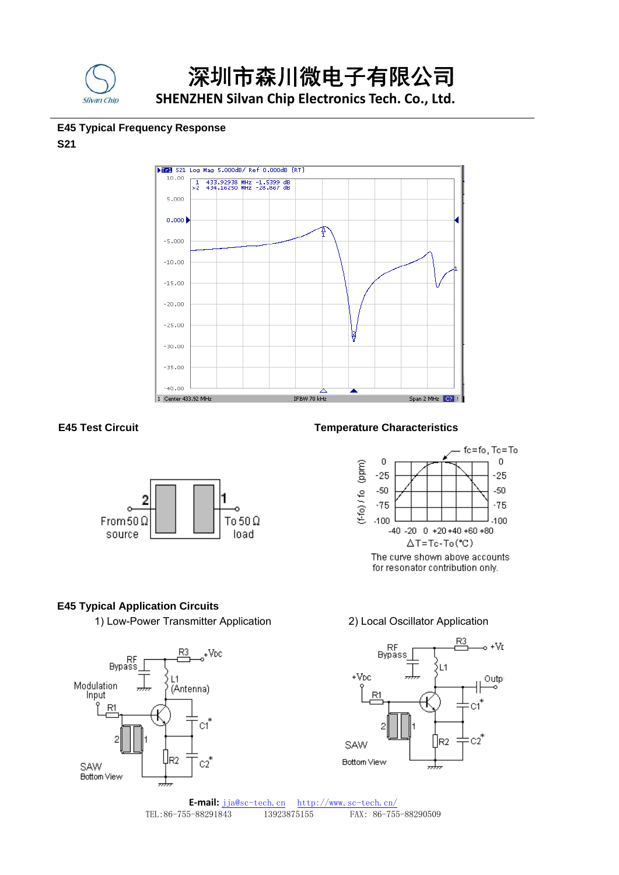

# 深圳市森川微电子有限公司

 **SHENZHEN Silvan Chip Electronics Tech. Co., Ltd.**

# **E45 Typical Frequency Response**

# **S21**





# **E45 Test Circuit Temperature Characteristics**



# **E45 Typical Application Circuits**

1) Low-Power Transmitter Application 2) Local Oscillator Application



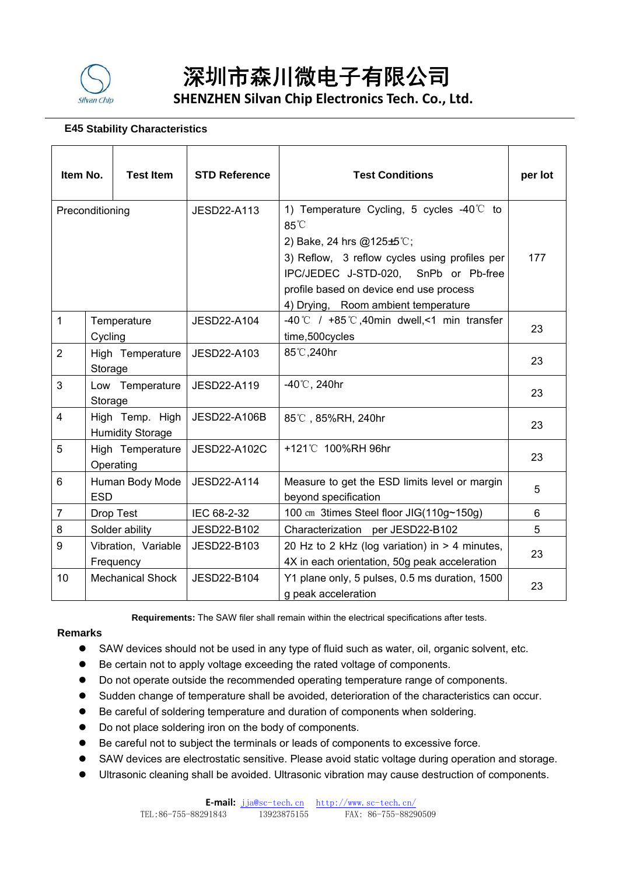

# 深圳市森川微电子有限公司  **SHENZHEN Silvan Chip Electronics Tech. Co., Ltd.**

# **E45 Stability Characteristics**

| Item No.        |            | <b>Test Item</b>                           | <b>STD Reference</b> | <b>Test Conditions</b>                                                                                                                                                                                                                                                    | per lot |
|-----------------|------------|--------------------------------------------|----------------------|---------------------------------------------------------------------------------------------------------------------------------------------------------------------------------------------------------------------------------------------------------------------------|---------|
| Preconditioning |            |                                            | JESD22-A113          | 1) Temperature Cycling, 5 cycles $-40^{\circ}$ to<br>$85^{\circ}$<br>2) Bake, 24 hrs @125±5°C;<br>3) Reflow, 3 reflow cycles using profiles per<br>IPC/JEDEC J-STD-020, SnPb or Pb-free<br>profile based on device end use process<br>4) Drying, Room ambient temperature | 177     |
| $\mathbf{1}$    | Cycling    | Temperature                                | JESD22-A104          | -40 °C / +85 °C, 40 min dwell, <1 min transfer<br>time,500cycles                                                                                                                                                                                                          | 23      |
| $\overline{2}$  | Storage    | High Temperature                           | JESD22-A103          | 85°C, 240hr                                                                                                                                                                                                                                                               | 23      |
| 3               | Storage    | Low Temperature                            | JESD22-A119          | $-40^{\circ}$ C, 240hr                                                                                                                                                                                                                                                    | 23      |
| 4               |            | High Temp. High<br><b>Humidity Storage</b> | JESD22-A106B         | 85℃, 85%RH, 240hr                                                                                                                                                                                                                                                         | 23      |
| 5               |            | High Temperature<br>Operating              | JESD22-A102C         | +121°C 100%RH 96hr                                                                                                                                                                                                                                                        | 23      |
| 6               | <b>ESD</b> | Human Body Mode                            | JESD22-A114          | Measure to get the ESD limits level or margin<br>beyond specification                                                                                                                                                                                                     | 5       |
| $\overline{7}$  |            | Drop Test                                  | IEC 68-2-32          | 100 cm 3times Steel floor JIG(110g~150g)                                                                                                                                                                                                                                  | 6       |
| 8               |            | Solder ability                             | JESD22-B102          | Characterization per JESD22-B102                                                                                                                                                                                                                                          | 5       |
| 9               |            | Vibration, Variable<br>Frequency           | JESD22-B103          | 20 Hz to 2 kHz (log variation) in > 4 minutes,<br>4X in each orientation, 50g peak acceleration                                                                                                                                                                           | 23      |
| 10              |            | <b>Mechanical Shock</b>                    | JESD22-B104          | Y1 plane only, 5 pulses, 0.5 ms duration, 1500<br>g peak acceleration                                                                                                                                                                                                     | 23      |

**Requirements:** The SAW filer shall remain within the electrical specifications after tests.

# **Remarks**

- SAW devices should not be used in any type of fluid such as water, oil, organic solvent, etc.
- Be certain not to apply voltage exceeding the rated voltage of components.
- Do not operate outside the recommended operating temperature range of components.
- Sudden change of temperature shall be avoided, deterioration of the characteristics can occur.
- Be careful of soldering temperature and duration of components when soldering.
- Do not place soldering iron on the body of components.
- Be careful not to subject the terminals or leads of components to excessive force.
- SAW devices are electrostatic sensitive. Please avoid static voltage during operation and storage.
- Ultrasonic cleaning shall be avoided. Ultrasonic vibration may cause destruction of components.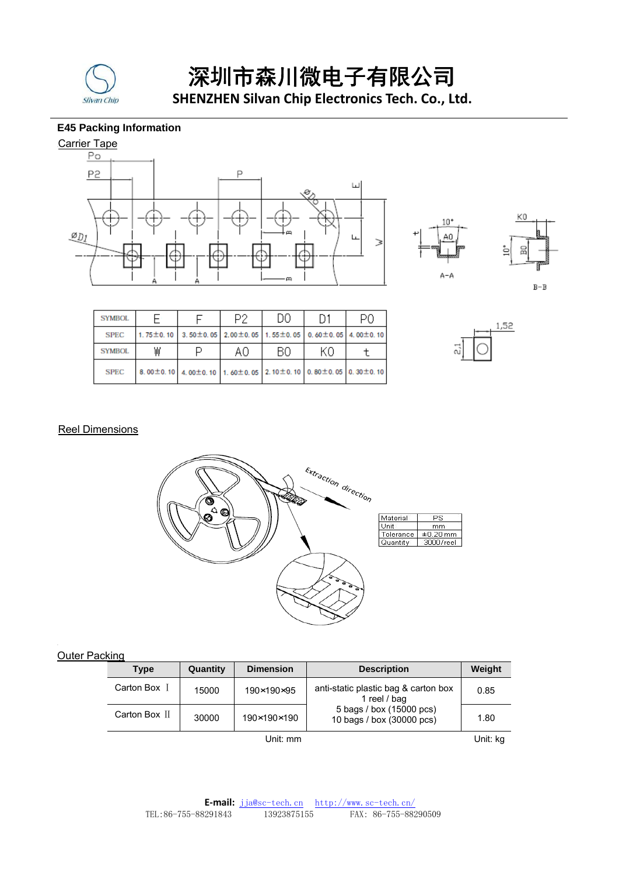

 深圳市森川微电子有限公司  **SHENZHEN Silvan Chip Electronics Tech. Co., Ltd.**

# **E45 Packing Information**





| <b>SYMBOL</b> |   |                                                             | D2 | DΟ | Ω1 | PΩ |
|---------------|---|-------------------------------------------------------------|----|----|----|----|
| <b>SPEC</b>   |   | 1.75±0.10 3.50±0.05 2.00±0.05 1.55±0.05 0.60±0.05 4.00±0.10 |    |    |    |    |
| <b>SYMBOL</b> | ₩ |                                                             | A0 | BΟ | K0 |    |
| <b>SPEC</b>   |   | 8.00±0.10 4.00±0.10 1.60±0.05 2.10±0.10 0.80±0.05 0.30±0.10 |    |    |    |    |



# **Reel Dimensions**



### Outer Packing

| <b>Type</b>   | Quantity | <b>Dimension</b> | <b>Description</b>                                    | Weight |  |
|---------------|----------|------------------|-------------------------------------------------------|--------|--|
| Carton Box I  | 15000    | 190×190×95       | anti-static plastic bag & carton box<br>1 reel / bag  | 0.85   |  |
| Carton Box II | 30000    | 190×190×190      | 5 bags / box (15000 pcs)<br>10 bags / box (30000 pcs) | 1.80   |  |
| Unit: mm      |          |                  |                                                       |        |  |